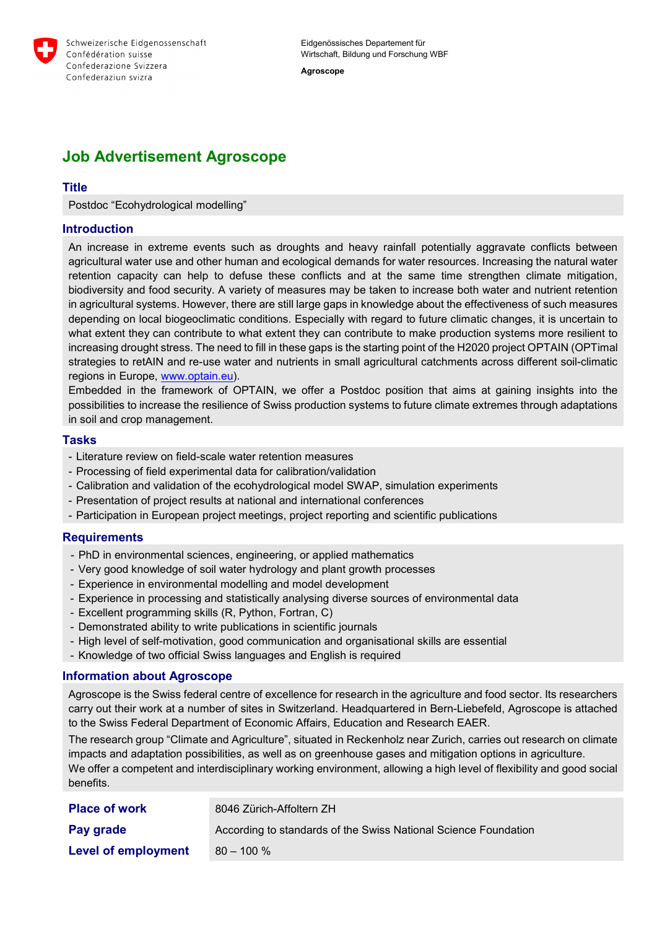

Eidgenössisches Departement für Wirtschaft, Bildung und Forschung WBF

**Agroscope**

# **Job Advertisement Agroscope**

## **Title**

Postdoc "Ecohydrological modelling"

#### **Introduction**

An increase in extreme events such as droughts and heavy rainfall potentially aggravate conflicts between agricultural water use and other human and ecological demands for water resources. Increasing the natural water retention capacity can help to defuse these conflicts and at the same time strengthen climate mitigation, biodiversity and food security. A variety of measures may be taken to increase both water and nutrient retention in agricultural systems. However, there are still large gaps in knowledge about the effectiveness of such measures depending on local biogeoclimatic conditions. Especially with regard to future climatic changes, it is uncertain to what extent they can contribute to what extent they can contribute to make production systems more resilient to increasing drought stress. The need to fill in these gaps is the starting point of the H2020 project OPTAIN (OPTimal strategies to retAIN and re-use water and nutrients in small agricultural catchments across different soil-climatic regions in Europe, [www.optain.eu\)](http://www.optain.eu/).

Embedded in the framework of OPTAIN, we offer a Postdoc position that aims at gaining insights into the possibilities to increase the resilience of Swiss production systems to future climate extremes through adaptations in soil and crop management.

#### **Tasks**

- Literature review on field-scale water retention measures
- Processing of field experimental data for calibration/validation
- Calibration and validation of the ecohydrological model SWAP, simulation experiments
- Presentation of project results at national and international conferences
- Participation in European project meetings, project reporting and scientific publications

#### **Requirements**

- PhD in environmental sciences, engineering, or applied mathematics
- Very good knowledge of soil water hydrology and plant growth processes
- Experience in environmental modelling and model development
- Experience in processing and statistically analysing diverse sources of environmental data
- Excellent programming skills (R, Python, Fortran, C)
- Demonstrated ability to write publications in scientific journals
- High level of self-motivation, good communication and organisational skills are essential
- Knowledge of two official Swiss languages and English is required

#### **Information about Agroscope**

Agroscope is the Swiss federal centre of excellence for research in the agriculture and food sector. Its researchers carry out their work at a number of sites in Switzerland. Headquartered in Bern-Liebefeld, Agroscope is attached to the Swiss Federal Department of Economic Affairs, Education and Research EAER.

The research group "Climate and Agriculture", situated in Reckenholz near Zurich, carries out research on climate impacts and adaptation possibilities, as well as on greenhouse gases and mitigation options in agriculture.

We offer a competent and interdisciplinary working environment, allowing a high level of flexibility and good social benefits.

| <b>Place of work</b>       | 8046 Zürich-Affoltern ZH                                        |
|----------------------------|-----------------------------------------------------------------|
| Pay grade                  | According to standards of the Swiss National Science Foundation |
| <b>Level of employment</b> | $80 - 100 \%$                                                   |